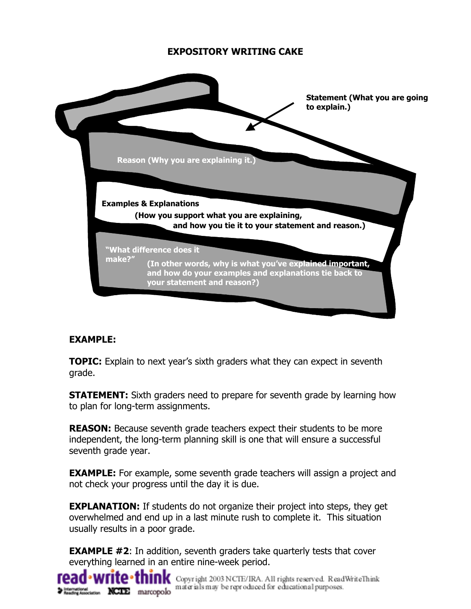## **EXPOSITORY WRITING CAKE**



## **EXAMPLE:**

**TOPIC:** Explain to next year's sixth graders what they can expect in seventh grade.

**STATEMENT:** Sixth graders need to prepare for seventh grade by learning how to plan for long-term assignments.

**REASON:** Because seventh grade teachers expect their students to be more independent, the long-term planning skill is one that will ensure a successful seventh grade year.

**EXAMPLE:** For example, some seventh grade teachers will assign a project and not check your progress until the day it is due.

**EXPLANATION:** If students do not organize their project into steps, they get overwhelmed and end up in a last minute rush to complete it. This situation usually results in a poor grade.

**EXAMPLE #2:** In addition, seventh graders take quarterly tests that cover everything learned in an entire nine-week period.